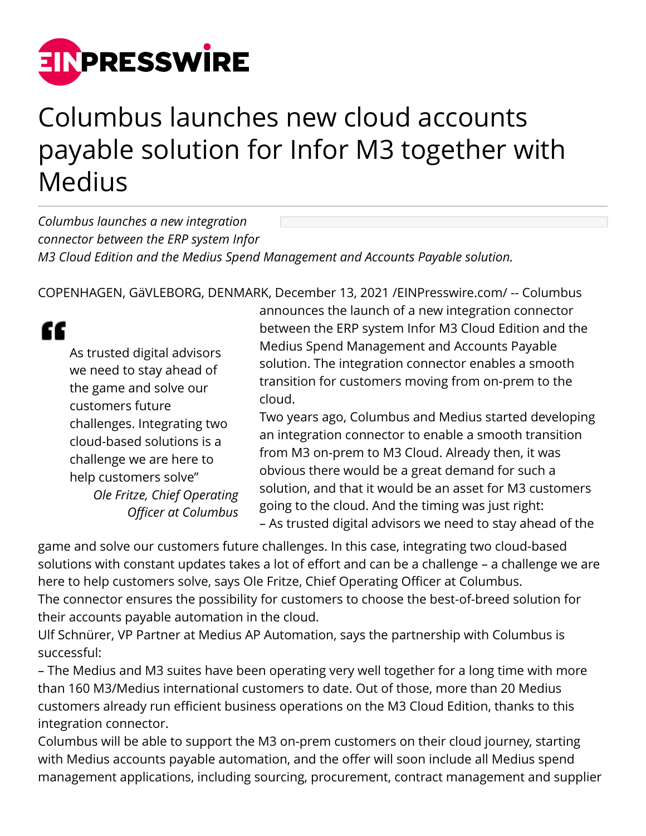

## Columbus launches new cloud accounts payable solution for Infor M3 together with Medius

*Columbus launches a new integration connector between the ERP system Infor M3 Cloud Edition and the Medius Spend Management and Accounts Payable solution.*

COPENHAGEN, GäVLEBORG, DENMARK, December 13, 2021 /[EINPresswire.com/](http://www.einpresswire.com) -- Columbus

## ££

As trusted digital advisors we need to stay ahead of the game and solve our customers future challenges. Integrating two cloud-based solutions is a challenge we are here to help customers solve" *Ole Fritze, Chief Operating Officer at Columbus*

announces the launch of a new integration connector between the ERP system Infor M3 Cloud Edition and the Medius Spend Management and Accounts Payable solution. The integration connector enables a smooth transition for customers moving from on-prem to the cloud.

Two years ago, Columbus and Medius started developing an integration connector to enable a smooth transition from M3 on-prem to M3 Cloud. Already then, it was obvious there would be a great demand for such a solution, and that it would be an asset for M3 customers going to the cloud. And the timing was just right: – As trusted digital advisors we need to stay ahead of the

game and solve our customers future challenges. In this case, integrating two cloud-based solutions with constant updates takes a lot of effort and can be a challenge – a challenge we are here to help customers solve, says Ole Fritze, Chief Operating Officer at Columbus. The connector ensures the possibility for customers to choose the best-of-breed solution for their accounts payable automation in the cloud.

Ulf Schnürer, VP Partner at Medius AP Automation, says the partnership with Columbus is successful:

– The Medius and M3 suites have been operating very well together for a long time with more than 160 M3/Medius international customers to date. Out of those, more than 20 Medius customers already run efficient business operations on the M3 Cloud Edition, thanks to this integration connector.

Columbus will be able to support the M3 on-prem customers on their cloud journey, starting with Medius accounts payable automation, and the offer will soon include all Medius spend management applications, including sourcing, procurement, contract management and supplier